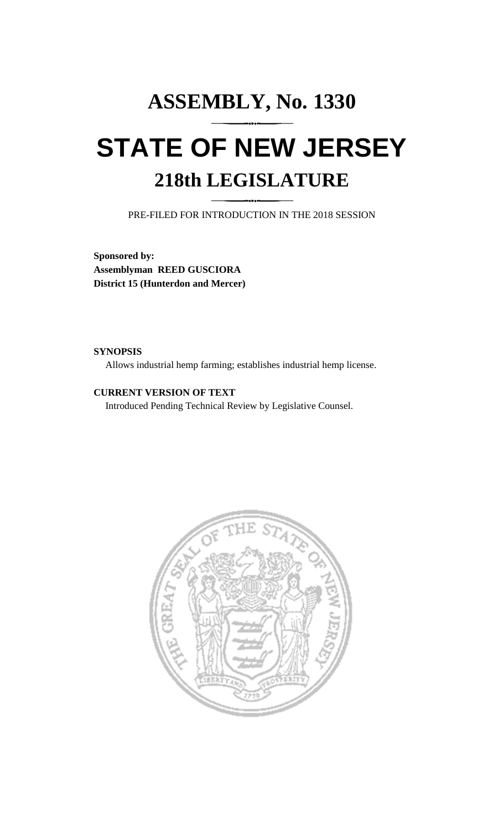# **ASSEMBLY, No. 1330 STATE OF NEW JERSEY 218th LEGISLATURE**

PRE-FILED FOR INTRODUCTION IN THE 2018 SESSION

**Sponsored by: Assemblyman REED GUSCIORA District 15 (Hunterdon and Mercer)**

# **SYNOPSIS**

Allows industrial hemp farming; establishes industrial hemp license.

# **CURRENT VERSION OF TEXT**

Introduced Pending Technical Review by Legislative Counsel.

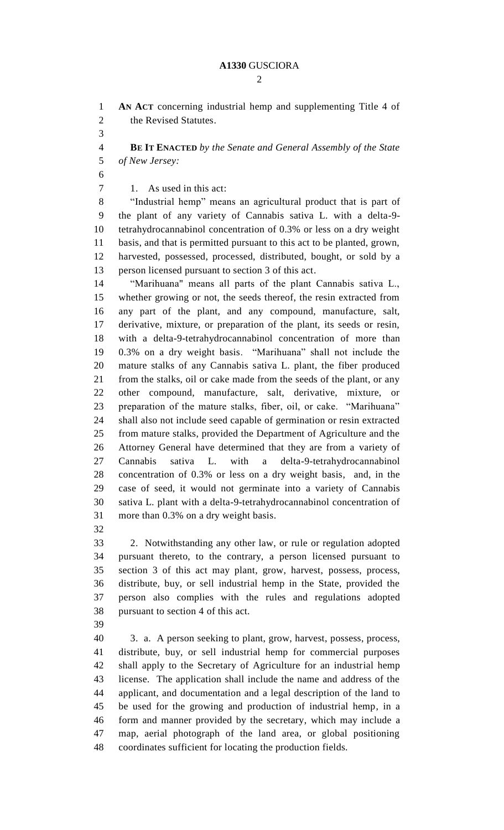$\mathcal{D}_{\mathcal{L}}$ 

 **AN ACT** concerning industrial hemp and supplementing Title 4 of the Revised Statutes.

 **BE IT ENACTED** *by the Senate and General Assembly of the State of New Jersey:*

7 1. As used in this act:

 "Industrial hemp" means an agricultural product that is part of the plant of any variety of Cannabis sativa L. with a delta-9- tetrahydrocannabinol concentration of 0.3% or less on a dry weight basis, and that is permitted pursuant to this act to be planted, grown, harvested, possessed, processed, distributed, bought, or sold by a person licensed pursuant to section 3 of this act.

 "Marihuana" means all parts of the plant Cannabis sativa L., whether growing or not, the seeds thereof, the resin extracted from any part of the plant, and any compound, manufacture, salt, derivative, mixture, or preparation of the plant, its seeds or resin, with a delta-9-tetrahydrocannabinol concentration of more than 0.3% on a dry weight basis. "Marihuana" shall not include the mature stalks of any Cannabis sativa L. plant, the fiber produced from the stalks, oil or cake made from the seeds of the plant, or any other compound, manufacture, salt, derivative, mixture, or preparation of the mature stalks, fiber, oil, or cake. "Marihuana" shall also not include seed capable of germination or resin extracted from mature stalks, provided the Department of Agriculture and the Attorney General have determined that they are from a variety of Cannabis sativa L. with a delta-9-tetrahydrocannabinol concentration of 0.3% or less on a dry weight basis, and, in the case of seed, it would not germinate into a variety of Cannabis sativa L. plant with a delta-9-tetrahydrocannabinol concentration of more than 0.3% on a dry weight basis.

 2. Notwithstanding any other law, or rule or regulation adopted pursuant thereto, to the contrary, a person licensed pursuant to section 3 of this act may plant, grow, harvest, possess, process, distribute, buy, or sell industrial hemp in the State, provided the person also complies with the rules and regulations adopted pursuant to section 4 of this act.

 3. a. A person seeking to plant, grow, harvest, possess, process, distribute, buy, or sell industrial hemp for commercial purposes shall apply to the Secretary of Agriculture for an industrial hemp license. The application shall include the name and address of the applicant, and documentation and a legal description of the land to be used for the growing and production of industrial hemp, in a form and manner provided by the secretary, which may include a map, aerial photograph of the land area, or global positioning coordinates sufficient for locating the production fields.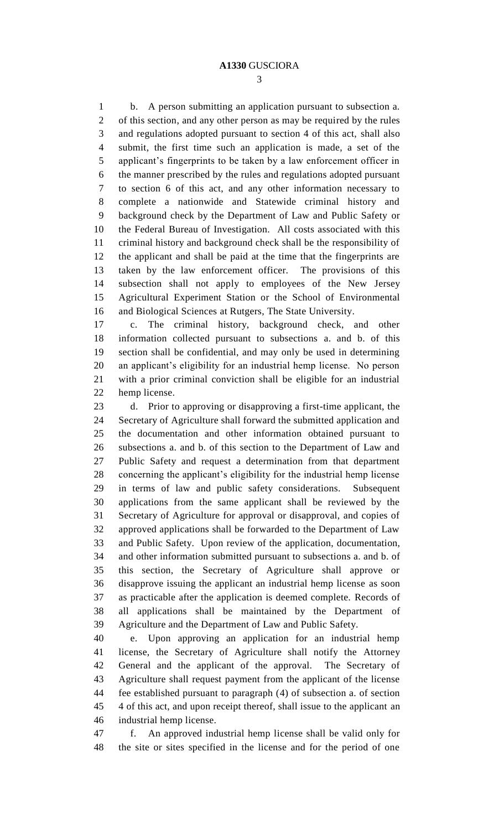b. A person submitting an application pursuant to subsection a. of this section, and any other person as may be required by the rules and regulations adopted pursuant to section 4 of this act, shall also submit, the first time such an application is made, a set of the applicant's fingerprints to be taken by a law enforcement officer in the manner prescribed by the rules and regulations adopted pursuant to section 6 of this act, and any other information necessary to complete a nationwide and Statewide criminal history and background check by the Department of Law and Public Safety or the Federal Bureau of Investigation. All costs associated with this criminal history and background check shall be the responsibility of the applicant and shall be paid at the time that the fingerprints are taken by the law enforcement officer. The provisions of this subsection shall not apply to employees of the New Jersey Agricultural Experiment Station or the School of Environmental and Biological Sciences at Rutgers, The State University.

 c. The criminal history, background check, and other information collected pursuant to subsections a. and b. of this section shall be confidential, and may only be used in determining an applicant's eligibility for an industrial hemp license. No person with a prior criminal conviction shall be eligible for an industrial hemp license.

 d. Prior to approving or disapproving a first-time applicant, the Secretary of Agriculture shall forward the submitted application and the documentation and other information obtained pursuant to subsections a. and b. of this section to the Department of Law and Public Safety and request a determination from that department concerning the applicant's eligibility for the industrial hemp license in terms of law and public safety considerations. Subsequent applications from the same applicant shall be reviewed by the Secretary of Agriculture for approval or disapproval, and copies of approved applications shall be forwarded to the Department of Law and Public Safety. Upon review of the application, documentation, and other information submitted pursuant to subsections a. and b. of this section, the Secretary of Agriculture shall approve or disapprove issuing the applicant an industrial hemp license as soon as practicable after the application is deemed complete. Records of all applications shall be maintained by the Department of Agriculture and the Department of Law and Public Safety.

 e. Upon approving an application for an industrial hemp license, the Secretary of Agriculture shall notify the Attorney General and the applicant of the approval. The Secretary of Agriculture shall request payment from the applicant of the license fee established pursuant to paragraph (4) of subsection a. of section 4 of this act, and upon receipt thereof, shall issue to the applicant an industrial hemp license.

 f. An approved industrial hemp license shall be valid only for the site or sites specified in the license and for the period of one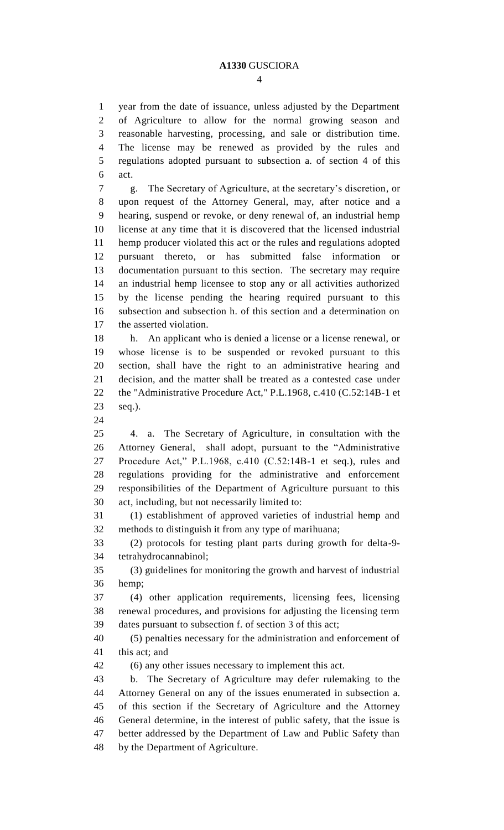year from the date of issuance, unless adjusted by the Department of Agriculture to allow for the normal growing season and reasonable harvesting, processing, and sale or distribution time. The license may be renewed as provided by the rules and regulations adopted pursuant to subsection a. of section 4 of this act.

 g. The Secretary of Agriculture, at the secretary's discretion, or upon request of the Attorney General, may, after notice and a hearing, suspend or revoke, or deny renewal of, an industrial hemp license at any time that it is discovered that the licensed industrial hemp producer violated this act or the rules and regulations adopted pursuant thereto, or has submitted false information or documentation pursuant to this section. The secretary may require an industrial hemp licensee to stop any or all activities authorized by the license pending the hearing required pursuant to this subsection and subsection h. of this section and a determination on the asserted violation.

 h. An applicant who is denied a license or a license renewal, or whose license is to be suspended or revoked pursuant to this section, shall have the right to an administrative hearing and decision, and the matter shall be treated as a contested case under 22 the "Administrative Procedure Act," P.L.1968, c.410 (C.52:14B-1 et seq.).

 4. a. The Secretary of Agriculture, in consultation with the Attorney General, shall adopt, pursuant to the "Administrative Procedure Act," P.L.1968, c.410 (C.52:14B-1 et seq.), rules and regulations providing for the administrative and enforcement responsibilities of the Department of Agriculture pursuant to this act, including, but not necessarily limited to:

 (1) establishment of approved varieties of industrial hemp and methods to distinguish it from any type of marihuana;

 (2) protocols for testing plant parts during growth for delta-9- tetrahydrocannabinol;

 (3) guidelines for monitoring the growth and harvest of industrial hemp;

 (4) other application requirements, licensing fees, licensing renewal procedures, and provisions for adjusting the licensing term dates pursuant to subsection f. of section 3 of this act;

 (5) penalties necessary for the administration and enforcement of this act; and

(6) any other issues necessary to implement this act.

 b. The Secretary of Agriculture may defer rulemaking to the Attorney General on any of the issues enumerated in subsection a. of this section if the Secretary of Agriculture and the Attorney General determine, in the interest of public safety, that the issue is better addressed by the Department of Law and Public Safety than by the Department of Agriculture.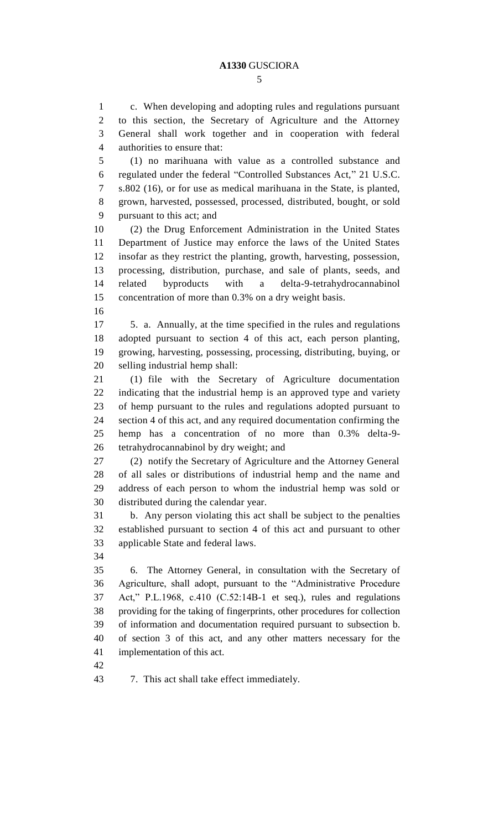c. When developing and adopting rules and regulations pursuant to this section, the Secretary of Agriculture and the Attorney General shall work together and in cooperation with federal authorities to ensure that:

 (1) no marihuana with value as a controlled substance and regulated under the federal "Controlled Substances Act," 21 U.S.C. s.802 (16), or for use as medical marihuana in the State, is planted, grown, harvested, possessed, processed, distributed, bought, or sold pursuant to this act; and

 (2) the Drug Enforcement Administration in the United States Department of Justice may enforce the laws of the United States insofar as they restrict the planting, growth, harvesting, possession, processing, distribution, purchase, and sale of plants, seeds, and related byproducts with a delta-9-tetrahydrocannabinol concentration of more than 0.3% on a dry weight basis.

 5. a. Annually, at the time specified in the rules and regulations adopted pursuant to section 4 of this act, each person planting, growing, harvesting, possessing, processing, distributing, buying, or selling industrial hemp shall:

 (1) file with the Secretary of Agriculture documentation indicating that the industrial hemp is an approved type and variety of hemp pursuant to the rules and regulations adopted pursuant to section 4 of this act, and any required documentation confirming the hemp has a concentration of no more than 0.3% delta-9- tetrahydrocannabinol by dry weight; and

 (2) notify the Secretary of Agriculture and the Attorney General of all sales or distributions of industrial hemp and the name and address of each person to whom the industrial hemp was sold or distributed during the calendar year.

 b. Any person violating this act shall be subject to the penalties established pursuant to section 4 of this act and pursuant to other applicable State and federal laws.

 6. The Attorney General, in consultation with the Secretary of Agriculture, shall adopt, pursuant to the "Administrative Procedure Act," P.L.1968, c.410 (C.52:14B-1 et seq.), rules and regulations providing for the taking of fingerprints, other procedures for collection of information and documentation required pursuant to subsection b. of section 3 of this act, and any other matters necessary for the implementation of this act.

7. This act shall take effect immediately.